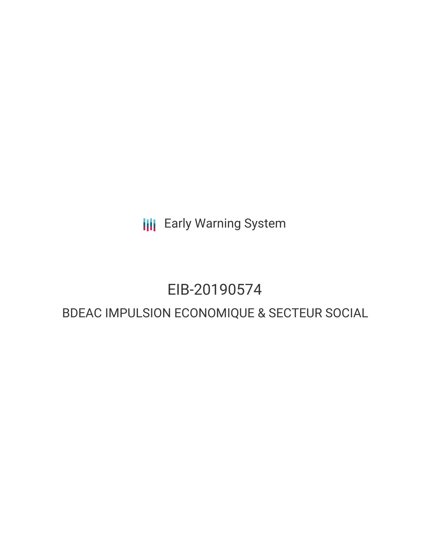**III** Early Warning System

## EIB-20190574

### BDEAC IMPULSION ECONOMIQUE & SECTEUR SOCIAL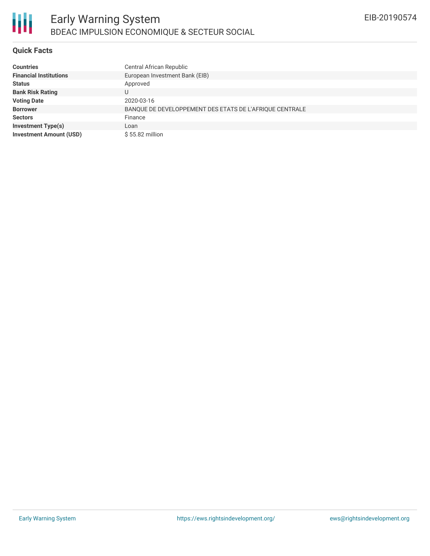

### **Quick Facts**

| <b>Countries</b>               | Central African Republic                                |
|--------------------------------|---------------------------------------------------------|
| <b>Financial Institutions</b>  | European Investment Bank (EIB)                          |
| <b>Status</b>                  | Approved                                                |
| <b>Bank Risk Rating</b>        |                                                         |
| <b>Voting Date</b>             | 2020-03-16                                              |
| <b>Borrower</b>                | BANQUE DE DEVELOPPEMENT DES ETATS DE L'AFRIQUE CENTRALE |
| <b>Sectors</b>                 | Finance                                                 |
| <b>Investment Type(s)</b>      | Loan                                                    |
| <b>Investment Amount (USD)</b> | $$55.82$ million                                        |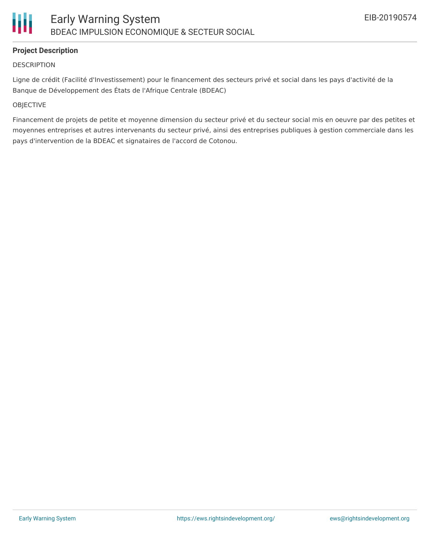### **Project Description**

### **DESCRIPTION**

Ligne de crédit (Facilité d'Investissement) pour le financement des secteurs privé et social dans les pays d'activité de la Banque de Développement des États de l'Afrique Centrale (BDEAC)

### **OBJECTIVE**

Financement de projets de petite et moyenne dimension du secteur privé et du secteur social mis en oeuvre par des petites et moyennes entreprises et autres intervenants du secteur privé, ainsi des entreprises publiques à gestion commerciale dans les pays d'intervention de la BDEAC et signataires de l'accord de Cotonou.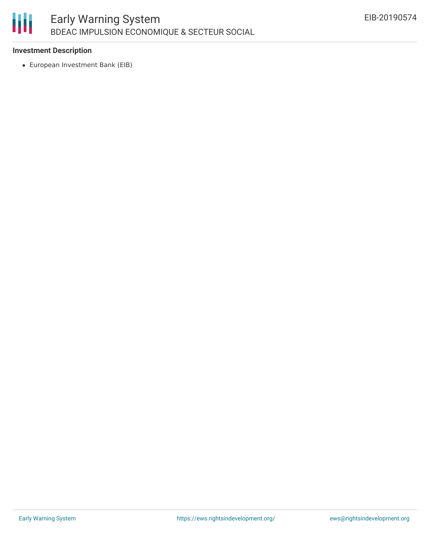# Ш

### **Investment Description**

European Investment Bank (EIB)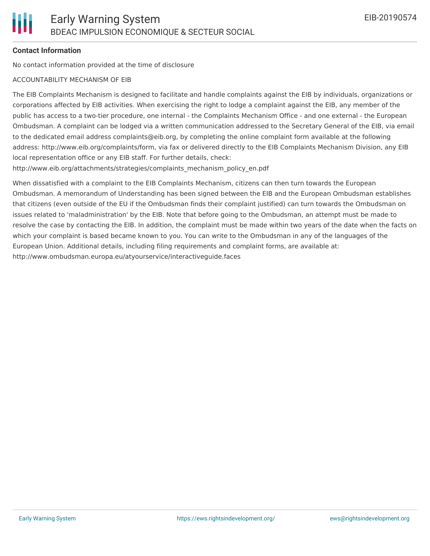### **Contact Information**

No contact information provided at the time of disclosure

### ACCOUNTABILITY MECHANISM OF EIB

The EIB Complaints Mechanism is designed to facilitate and handle complaints against the EIB by individuals, organizations or corporations affected by EIB activities. When exercising the right to lodge a complaint against the EIB, any member of the public has access to a two-tier procedure, one internal - the Complaints Mechanism Office - and one external - the European Ombudsman. A complaint can be lodged via a written communication addressed to the Secretary General of the EIB, via email to the dedicated email address complaints@eib.org, by completing the online complaint form available at the following address: http://www.eib.org/complaints/form, via fax or delivered directly to the EIB Complaints Mechanism Division, any EIB local representation office or any EIB staff. For further details, check:

http://www.eib.org/attachments/strategies/complaints\_mechanism\_policy\_en.pdf

When dissatisfied with a complaint to the EIB Complaints Mechanism, citizens can then turn towards the European Ombudsman. A memorandum of Understanding has been signed between the EIB and the European Ombudsman establishes that citizens (even outside of the EU if the Ombudsman finds their complaint justified) can turn towards the Ombudsman on issues related to 'maladministration' by the EIB. Note that before going to the Ombudsman, an attempt must be made to resolve the case by contacting the EIB. In addition, the complaint must be made within two years of the date when the facts on which your complaint is based became known to you. You can write to the Ombudsman in any of the languages of the European Union. Additional details, including filing requirements and complaint forms, are available at: http://www.ombudsman.europa.eu/atyourservice/interactiveguide.faces